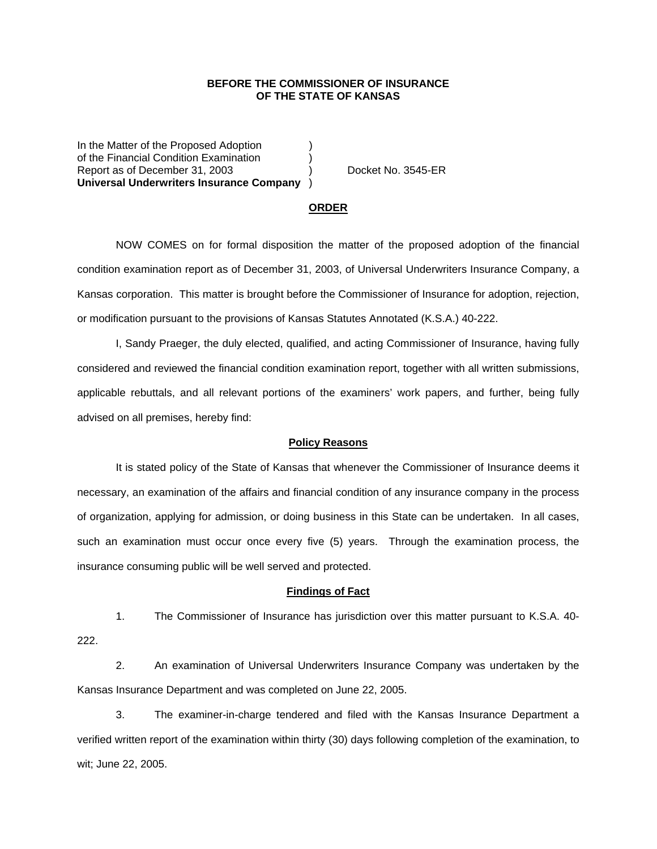## **BEFORE THE COMMISSIONER OF INSURANCE OF THE STATE OF KANSAS**

In the Matter of the Proposed Adoption of the Financial Condition Examination ) Report as of December 31, 2003 (and Separate No. 3545-ER **Universal Underwriters Insurance Company** )

#### **ORDER**

 NOW COMES on for formal disposition the matter of the proposed adoption of the financial condition examination report as of December 31, 2003, of Universal Underwriters Insurance Company, a Kansas corporation. This matter is brought before the Commissioner of Insurance for adoption, rejection, or modification pursuant to the provisions of Kansas Statutes Annotated (K.S.A.) 40-222.

 I, Sandy Praeger, the duly elected, qualified, and acting Commissioner of Insurance, having fully considered and reviewed the financial condition examination report, together with all written submissions, applicable rebuttals, and all relevant portions of the examiners' work papers, and further, being fully advised on all premises, hereby find:

### **Policy Reasons**

 It is stated policy of the State of Kansas that whenever the Commissioner of Insurance deems it necessary, an examination of the affairs and financial condition of any insurance company in the process of organization, applying for admission, or doing business in this State can be undertaken. In all cases, such an examination must occur once every five (5) years. Through the examination process, the insurance consuming public will be well served and protected.

#### **Findings of Fact**

 1. The Commissioner of Insurance has jurisdiction over this matter pursuant to K.S.A. 40- 222.

 2. An examination of Universal Underwriters Insurance Company was undertaken by the Kansas Insurance Department and was completed on June 22, 2005.

 3. The examiner-in-charge tendered and filed with the Kansas Insurance Department a verified written report of the examination within thirty (30) days following completion of the examination, to wit; June 22, 2005.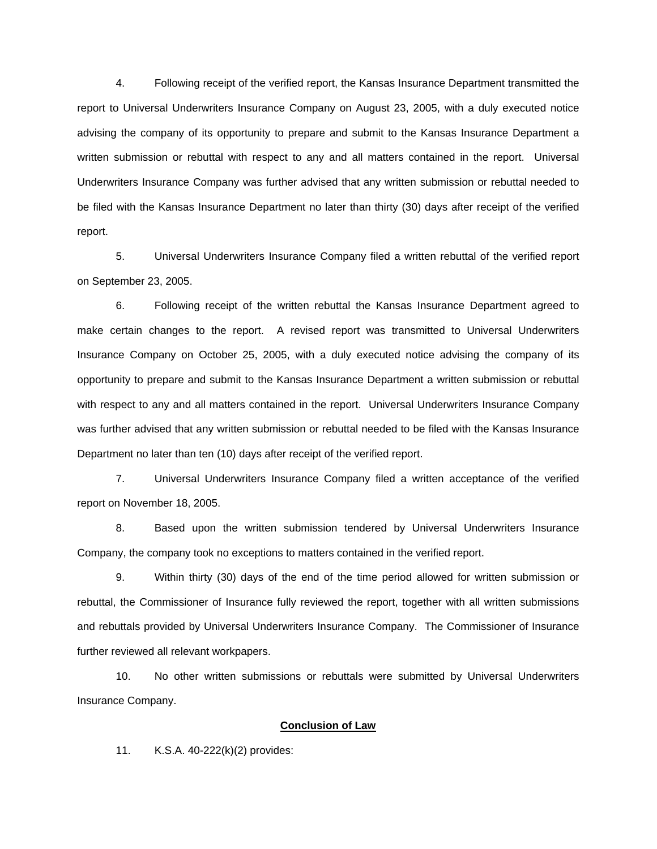4. Following receipt of the verified report, the Kansas Insurance Department transmitted the report to Universal Underwriters Insurance Company on August 23, 2005, with a duly executed notice advising the company of its opportunity to prepare and submit to the Kansas Insurance Department a written submission or rebuttal with respect to any and all matters contained in the report. Universal Underwriters Insurance Company was further advised that any written submission or rebuttal needed to be filed with the Kansas Insurance Department no later than thirty (30) days after receipt of the verified report.

 5. Universal Underwriters Insurance Company filed a written rebuttal of the verified report on September 23, 2005.

 6. Following receipt of the written rebuttal the Kansas Insurance Department agreed to make certain changes to the report. A revised report was transmitted to Universal Underwriters Insurance Company on October 25, 2005, with a duly executed notice advising the company of its opportunity to prepare and submit to the Kansas Insurance Department a written submission or rebuttal with respect to any and all matters contained in the report. Universal Underwriters Insurance Company was further advised that any written submission or rebuttal needed to be filed with the Kansas Insurance Department no later than ten (10) days after receipt of the verified report.

 7. Universal Underwriters Insurance Company filed a written acceptance of the verified report on November 18, 2005.

 8. Based upon the written submission tendered by Universal Underwriters Insurance Company, the company took no exceptions to matters contained in the verified report.

 9. Within thirty (30) days of the end of the time period allowed for written submission or rebuttal, the Commissioner of Insurance fully reviewed the report, together with all written submissions and rebuttals provided by Universal Underwriters Insurance Company. The Commissioner of Insurance further reviewed all relevant workpapers.

 10. No other written submissions or rebuttals were submitted by Universal Underwriters Insurance Company.

## **Conclusion of Law**

11. K.S.A. 40-222(k)(2) provides: